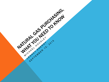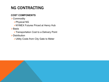# NG CONTRACTING

#### **COST COMPONENTS**

- **≻Commodity** 
	- Physical NG
	- NYMEX Futures Priced at Henry Hub
- **>Basis** 
	- >Transportation Cost to a Delivery Point
- **Distribution** 
	- Utility Costs from City Gate to Meter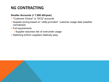# NG CONTRACTING

#### **Smaller Accounts (< 7,000 dth/year)**

- ▶ "Customer Choice" or "DCQ" accounts
- Supplier pricing based on "*utility-provided*" customer usage data (weather normalized)
- Full requirements
	- Supplier assumes risk of over/under usage
- Switching to/from suppliers relatively easy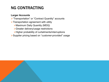# NG CONTRACTING

#### **Larger Accounts**

- > "Transportation" or "Contract Quantity" accounts
- $\triangleright$  Transportation agreement with utility
	- Maximum Daily Quantity (MDQ)
	- Greater delivery/usage restrictions
	- $\triangleright$  Higher probability of curtailments/interruptions
- Supplier pricing based on "*customer-provided"* usage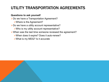# UTILITY TRANSPORTATION AGREEMENTS

#### **Questions to ask yourself**

**≻Do we have a Transportation Agreement?** 

- Where is the Agreement?
- $\triangleright$  Do we have a utility account representative?
	- Who is my utility account representative?
- When was the last time someone reviewed the agreement?
	- When does it expire? Does it auto-renew?
	- What is my MDQ? Is it accurate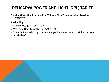#### **Service Classification: Medium Volume Firm Transportation Service ("MVFT")**

#### **Availability**

- $\triangleright$  Monthly Usage > 2,000 MCF
- Maximum Daily Quantity ("MDQ") < 500
- **≻**"...subject to availability of adequate gas transmission and distribution system capabilities"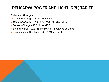#### **Rates and Charges**

- Customer Charge \$757 per month
- *Demand Charge*  \$16.14 per MCF of Billing MDQ
- Delivery Charge \$0.518 per MCF
- ▶ Balancing Fee \$0.3388 per MCF of Imbalance Volumes
- Environmental Surcharge \$0.01215 per MCF

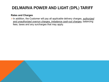#### **Rates and Charges**

In addition, the Customer will pay all applicable delivery charges, *authorized and unauthorized overrun charges, imbalance cash-out charges*, balancing fees, taxes and any surcharges that may apply.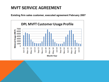### MVFT SERVICE AGREEMENT

**Existing firm sales customer, executed agreement February 2007**

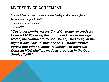### MVFT SERVICE AGREEMENT

**Contract Term - 1 year, renews unless 90 days prior notice given** 

**Transition Charge - \$15,000**

**Contract MDQ - 450 MCF**

 $$72,600/yr$ 

*"Customer hereby agrees that if Customer exceeds its Contract MDQ during the months of October through March, the Contract MDQ shall be adjusted to equal the highest daily take in such period. Customer further agrees that other changes to increase or decrease Contract MDQ shall be made as provided in the Gas Service Tariff."*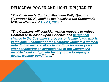*"The Customer's Contract Maximum Daily Quantity ("Contract MDQ") shall be set initially at the Customer's MDQ in effect as of April 1, 2003."*

*"The Company will consider written requests to reduce Contract MDQ based upon evidence of a permanent change in the Customer's process or facility loads which, in the sole judgement of the Company, indicate a material reduction in demand likely to continue for three years after considering an extrapolation of the Customer's recorded load and growth history to the Company's design weather conditions."*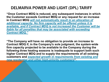**"Once Contract MDQ is reduced, any subsequent instances in which the Customer exceeds Contract MDQ or any request for an increase in Contract MDQ** *will not automatically result in an allocation of additional capacity. No firm capacity will be offered unless it is available, and if Contract MDQ is not increased the Customer will be liable for all penalties that may be associated with exceeding Contract MDQ."*

**"The Company will have no obligation to provide an increase to Contract MDQ if, in the Company's sole judgment, the system-wide firm capacity projected to be available to the Company during the following three heating seasons is inadequate to support both such higher Contract MDQ and to supply the requirements of all existing customers and** *expected growth in requirements from existing and new residential and other high-priority customers***".**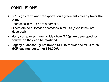## **CONCLUSIONS**

- **DPL's gas tariff and transportation agreements clearly favor the utility.** 
	- Increases in MDQ's are automatic.
	- There are no automatic decreases in MDQ's (even if they are deserved).
- **Many companies have no idea how MDQs are developed, or how/when they can be modified.**
- **Legacy successfully petitioned DPL to reduce the MDQ to 280 MCF, savings customer \$30,000/yr.**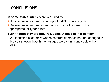### **CONCLUSIONS**

#### **In some states, utilities are required to**

- **EXECT** PREVIEW customer usages and update MDQ's once a year
- Review customer usages annually to insure they are on the appropriate utility tariff rate

#### **Even though they are required, some utilities do not comply**

We identified customers whose contract demands had not changed in five years, even though their usages were significantly below their MDQ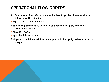# OPERATIONAL FLOW ORDERS

- **An Operational Flow Order is a mechanism to protect the operational integrity of the pipeline.**
- High or low pipeline inventory.
- **Require shippers to take action to balance their supply with their customers' usage.**
- on a daily basis
- **specified tolerance band**

#### **Shippers may deliver additional supply or limit supply delivered to match usage**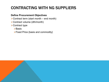# CONTRACTING WITH NG SUPPLIERS

#### **Define Procurement Objectives**

- $\triangleright$  Contract term (start month end month)
- Contract volume (dth/month)
- **≻Contract type** 
	- **>Basis**
	- $\triangleright$  Fixed Price (basis and commodity)

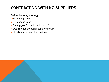# CONTRACTING WITH NG SUPPLIERS

#### **Define hedging strategy**

- $\triangleright$ % to hedge now
- $\triangleright$ % to hedge later
- ▶ Set triggers for "automatic lock in"
- Deadline for executing supply contract
- Deadlines for executing hedges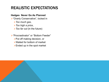## REALISTIC EXPECTATIONS

#### **Hedges Never Go As Planned**

"Overly Conservative", locked in

- *Too much gas*,
- *Too high a price*,
- *Too far out* (in the future)

"Procrastinator" or "Bottom Feeder"

- $\triangleright$  Put off making decision, or
- Waited for bottom of market
- $\triangleright$  Ended up in the spot market

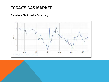### TODAY'S GAS MARKET

#### **Paradigm Shift Has/Is Occurring….**

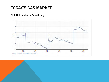### TODAY'S GAS MARKET

#### **Not All Locations Benefitting**